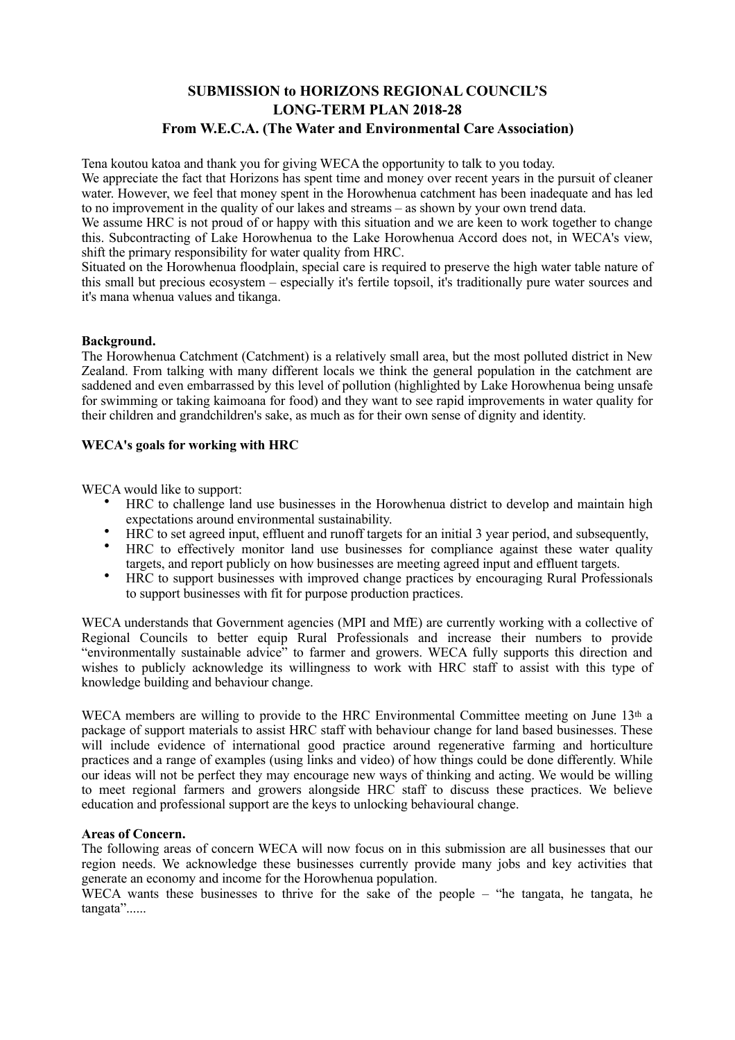# **SUBMISSION to HORIZONS REGIONAL COUNCIL'S LONG-TERM PLAN 2018-28 From W.E.C.A. (The Water and Environmental Care Association)**

Tena koutou katoa and thank you for giving WECA the opportunity to talk to you today.

We appreciate the fact that Horizons has spent time and money over recent years in the pursuit of cleaner water. However, we feel that money spent in the Horowhenua catchment has been inadequate and has led to no improvement in the quality of our lakes and streams – as shown by your own trend data.

We assume HRC is not proud of or happy with this situation and we are keen to work together to change this. Subcontracting of Lake Horowhenua to the Lake Horowhenua Accord does not, in WECA's view, shift the primary responsibility for water quality from HRC.

Situated on the Horowhenua floodplain, special care is required to preserve the high water table nature of this small but precious ecosystem – especially it's fertile topsoil, it's traditionally pure water sources and it's mana whenua values and tikanga.

## **Background.**

The Horowhenua Catchment (Catchment) is a relatively small area, but the most polluted district in New Zealand. From talking with many different locals we think the general population in the catchment are saddened and even embarrassed by this level of pollution (highlighted by Lake Horowhenua being unsafe for swimming or taking kaimoana for food) and they want to see rapid improvements in water quality for their children and grandchildren's sake, as much as for their own sense of dignity and identity.

## **WECA's goals for working with HRC**

WECA would like to support:

- HRC to challenge land use businesses in the Horowhenua district to develop and maintain high expectations around environmental sustainability.
- HRC to set agreed input, effluent and runoff targets for an initial 3 year period, and subsequently,
- HRC to effectively monitor land use businesses for compliance against these water quality targets, and report publicly on how businesses are meeting agreed input and effluent targets.
- HRC to support businesses with improved change practices by encouraging Rural Professionals to support businesses with fit for purpose production practices.

WECA understands that Government agencies (MPI and MfE) are currently working with a collective of Regional Councils to better equip Rural Professionals and increase their numbers to provide "environmentally sustainable advice" to farmer and growers. WECA fully supports this direction and wishes to publicly acknowledge its willingness to work with HRC staff to assist with this type of knowledge building and behaviour change.

WECA members are willing to provide to the HRC Environmental Committee meeting on June 13th a package of support materials to assist HRC staff with behaviour change for land based businesses. These will include evidence of international good practice around regenerative farming and horticulture practices and a range of examples (using links and video) of how things could be done differently. While our ideas will not be perfect they may encourage new ways of thinking and acting. We would be willing to meet regional farmers and growers alongside HRC staff to discuss these practices. We believe education and professional support are the keys to unlocking behavioural change.

## **Areas of Concern.**

The following areas of concern WECA will now focus on in this submission are all businesses that our region needs. We acknowledge these businesses currently provide many jobs and key activities that generate an economy and income for the Horowhenua population.

WECA wants these businesses to thrive for the sake of the people – "he tangata, he tangata, he tangata"......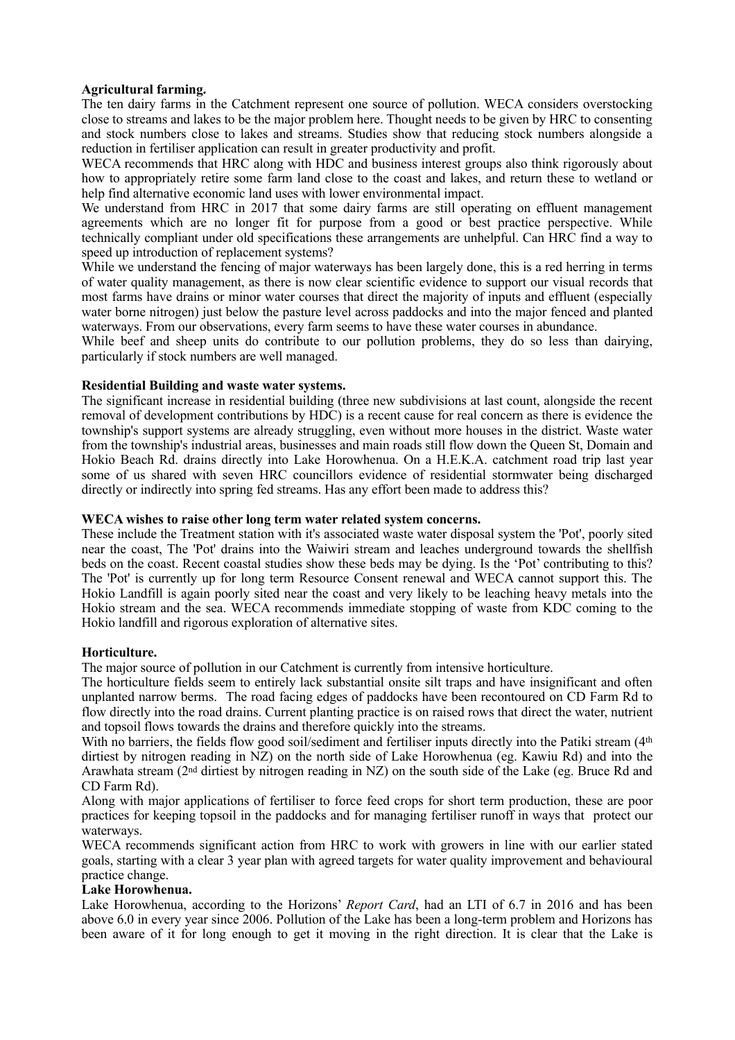## **Agricultural farming.**

The ten dairy farms in the Catchment represent one source of pollution. WECA considers overstocking close to streams and lakes to be the major problem here. Thought needs to be given by HRC to consenting and stock numbers close to lakes and streams. Studies show that reducing stock numbers alongside a reduction in fertiliser application can result in greater productivity and profit.

WECA recommends that HRC along with HDC and business interest groups also think rigorously about how to appropriately retire some farm land close to the coast and lakes, and return these to wetland or help find alternative economic land uses with lower environmental impact.

We understand from HRC in 2017 that some dairy farms are still operating on effluent management agreements which are no longer fit for purpose from a good or best practice perspective. While technically compliant under old specifications these arrangements are unhelpful. Can HRC find a way to speed up introduction of replacement systems?

While we understand the fencing of major waterways has been largely done, this is a red herring in terms of water quality management, as there is now clear scientific evidence to support our visual records that most farms have drains or minor water courses that direct the majority of inputs and effluent (especially water borne nitrogen) just below the pasture level across paddocks and into the major fenced and planted waterways. From our observations, every farm seems to have these water courses in abundance.

While beef and sheep units do contribute to our pollution problems, they do so less than dairying, particularly if stock numbers are well managed.

## **Residential Building and waste water systems.**

The significant increase in residential building (three new subdivisions at last count, alongside the recent removal of development contributions by HDC) is a recent cause for real concern as there is evidence the township's support systems are already struggling, even without more houses in the district. Waste water from the township's industrial areas, businesses and main roads still flow down the Queen St, Domain and Hokio Beach Rd. drains directly into Lake Horowhenua. On a H.E.K.A. catchment road trip last year some of us shared with seven HRC councillors evidence of residential stormwater being discharged directly or indirectly into spring fed streams. Has any effort been made to address this?

#### **WECA wishes to raise other long term water related system concerns.**

These include the Treatment station with it's associated waste water disposal system the 'Pot', poorly sited near the coast, The 'Pot' drains into the Waiwiri stream and leaches underground towards the shellfish beds on the coast. Recent coastal studies show these beds may be dying. Is the 'Pot' contributing to this? The 'Pot' is currently up for long term Resource Consent renewal and WECA cannot support this. The Hokio Landfill is again poorly sited near the coast and very likely to be leaching heavy metals into the Hokio stream and the sea. WECA recommends immediate stopping of waste from KDC coming to the Hokio landfill and rigorous exploration of alternative sites.

## **Horticulture.**

The major source of pollution in our Catchment is currently from intensive horticulture.

The horticulture fields seem to entirely lack substantial onsite silt traps and have insignificant and often unplanted narrow berms. The road facing edges of paddocks have been recontoured on CD Farm Rd to flow directly into the road drains. Current planting practice is on raised rows that direct the water, nutrient and topsoil flows towards the drains and therefore quickly into the streams.

With no barriers, the fields flow good soil/sediment and fertiliser inputs directly into the Patiki stream (4<sup>th</sup>) dirtiest by nitrogen reading in NZ) on the north side of Lake Horowhenua (eg. Kawiu Rd) and into the Arawhata stream (2nd dirtiest by nitrogen reading in NZ) on the south side of the Lake (eg. Bruce Rd and CD Farm Rd).

Along with major applications of fertiliser to force feed crops for short term production, these are poor practices for keeping topsoil in the paddocks and for managing fertiliser runoff in ways that protect our waterways.

WECA recommends significant action from HRC to work with growers in line with our earlier stated goals, starting with a clear 3 year plan with agreed targets for water quality improvement and behavioural practice change.

## **Lake Horowhenua.**

Lake Horowhenua, according to the Horizons' *Report Card*, had an LTI of 6.7 in 2016 and has been above 6.0 in every year since 2006. Pollution of the Lake has been a long-term problem and Horizons has been aware of it for long enough to get it moving in the right direction. It is clear that the Lake is